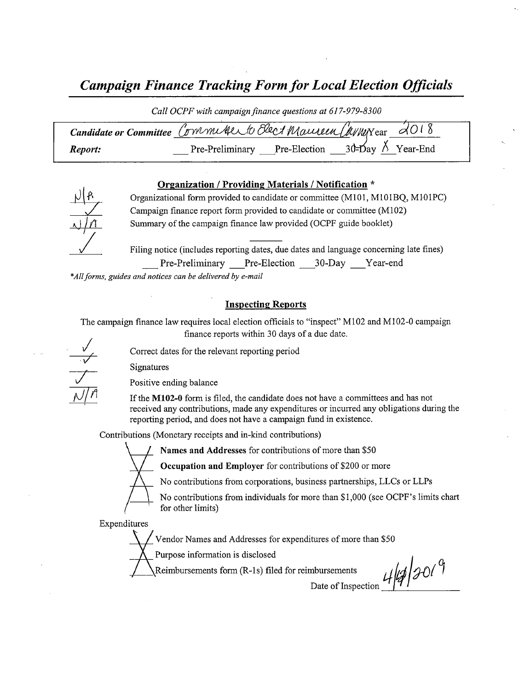# Campaign Finance Tracking Form for Local Election Officials

Call OCPF with campaign finance questions at 617-979-8300

| Candidate or Committee Committee Contractor Elect Maurieux Chypersear 2018 |                              |                              |
|----------------------------------------------------------------------------|------------------------------|------------------------------|
| Report:                                                                    | Pre-Preliminary Pre-Election | $30$ -Day $\lambda$ Year-End |

### Organization / Providing Materials / Notification \*



Organizational form provided to candidate or committee ( M101, M101BQ, M101PC) Campaign finance report form provided to candidate or committee( M102) Summary of the campaign finance law provided( OCPF guide booklet)

Filing notice (includes reporting dates, due dates and language concerning late fines) Pre-Preliminary — Pre-Election — 30-Day — Year-end

\*All forms, guides and notices can be delivered by e-mail

### Inspecting Reports

The campaign finance law requires local election officials to "inspect" M102 and M102-0 campaign finance reports within 30 days of <sup>a</sup> due date.

Correct dates for the relevant reporting period

Signatures

Positive ending balance

If the M102-0 form is filed, the candidate does not have a committees and has not received any contributions, made any expenditures or incurred any obligations during the reporting period, and does not have a campaign fund in existence.

Contributions( Monetary receipts and in-kind contributions)



Names and Addresses for contributions of more than \$50

Occupation and Employer for contributions of \$200 or more

No contributions from corporations, business partnerships, LLCs or LLPs

No contributions from individuals for more than \$1,000 (see OCPF's limits chart for other limits)

Expenditures

Vendor Names and Addresses for expenditures of more than\$ 50

Purpose information is disclosed

Reimbursements form (R-1s) filed for reimbursements  $\iota$ 

Date of Inspection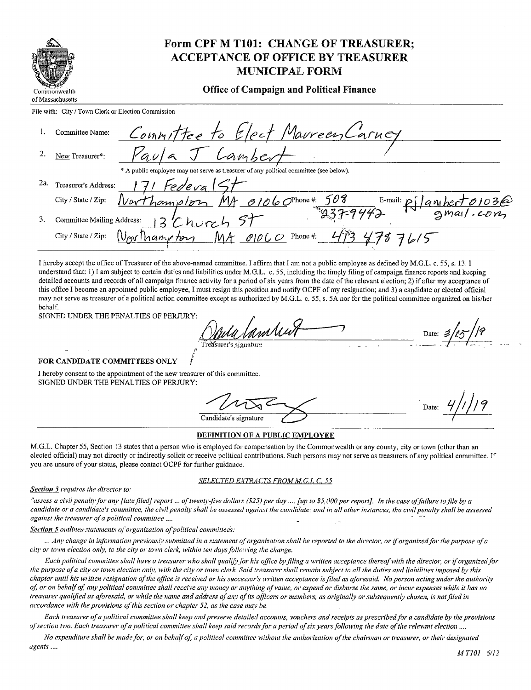|                                                     | Form CPF M T101: CHANGE OF TREASURER;<br><b>ACCEPTANCE OF OFFICE BY TREASURER</b><br><b>MUNICIPAL FORM</b> |  |  |  |  |
|-----------------------------------------------------|------------------------------------------------------------------------------------------------------------|--|--|--|--|
| Commonwealth<br>of Massachusetts                    | <b>Office of Campaign and Political Finance</b>                                                            |  |  |  |  |
| File with: City / Town Clerk or Election Commission |                                                                                                            |  |  |  |  |
| Committee Name:                                     | Committee to Elect Maureen Carney                                                                          |  |  |  |  |

Lamber

A public employee may not serve as treasurer of any political committee (see below).<br>
2a. Treasurer's Address:  $\frac{171 \text{ FeV}e \text{ vq}}{271 \text{ FeV}}$ City/State/Zip:  $N$ orthamp/orn MA 0106 O<sup>phone#</sup>: 508 E-mail: pj/ambert0103 3. Committee Mailing Address: mar/.con Committee Mailing Address: 13 Church 5+<br>City/State/Zip: <u>NoveManyeton</u> MA 01060 Phone#: 473 478 76/5

I hereby accept the office of Treasurer of the above- named committee. I affirm that I am not <sup>a</sup> public employee as defined by M.G.L. c. 55, s. 13. I understand that: 1) I am subject to certain duties and liabilities under M.G.L. c. 55, including the timely filing of campaign finance reports and keeping detailed accounts and records of all campaign finance activity for a period of six years from the date of the relevant election; 2) if after my acceptance of this office I become an appointed public employee, I must resign this position and notify OCPF of my resignation; and 3) <sup>a</sup> candidate or elected official may not serve as treasurer of a political action committee except as authorized by M.G.L. c. 55, s. 5A nor for the political committee organized on his/her behalf.

SIGNED UNDER THE PENALTIES OF PERJURY:

2. New Treasurer\*:

a nar / h Date:  $\mathcal{B}$ airer's sionature

### FOR CANDIDATE COMMITTEES ONLY

<sup>1</sup> hereby consent to the appointment of the new treasurer of this committee. SIGNED UNDER THE PENALTIES OF PERJURY:

Date: Candidate's signature

#### DEFINITION OF A PUBLIC EMPLOYEE

M.G.L. Chapter 55, Section 13 states that a person who is employed for compensation by the Commonwealth or any county, city or town( other than an elected official) may not directly or indirectly solicit or receive political contributions. Such persons may not serve as treasurers of any political committee. If you are unsure of your status, please contact OCPF for further guidance.

### SELECTED EXTRACTS FROM M.G.L C. 55

Section 3 requires the director to:

"assess a civil penalty for any [late filed] report ... of twenty-five dollars (\$25) per day .... [up to \$5,000 per report]. In the case of failure to file by a candidate or a candidate's committee, the civil penalty shall be assessed against the candidate; and in all other instances, the civil penalty shall he assessed against the treasurer of a political committee....

Section 5 outlines statements of organization of political committees:

... Any change in information previously submitted in a statement of organization shall be reported to the director, or if organized for the purpose of a city or town election only, to the city or town clerk, within ten daysfollowing the change.

Each political committee shall have a treasurer who shall qualify for his office by filing a written acceptance thereof with the director, or if organized for the purpose ofa city or town election only, with the city or town clerk. Said treasurer shall remain subject to all the duties and liabilities imposed by this chapter until his written resignation of the office is received or his successor's written acceptance is filed as aforesaid. No person acting under the authority of, or on behalf of, any political committee shall receive any money or anything of value, or expend or disburse the same, or incur expenses while it has no treasurer qualified as aforesaid, or while the name and address of any of its officers or members, as originally or subsequently chosen, is not filed in accordance with the provisions of this section or chapter 52, as the case may be.

Each treasurer of a political committee shall keep and preserve detailed accounts, vouchers and receipts as prescribed for a candidate by the provisions of section two. Each treasurer of a political committee shall keep said records for a period of six years following the date of the relevant election....

No expenditure shall be made for, or on behalf of, a political committee without the authorization of the chairman or treasurer, or their designated agents....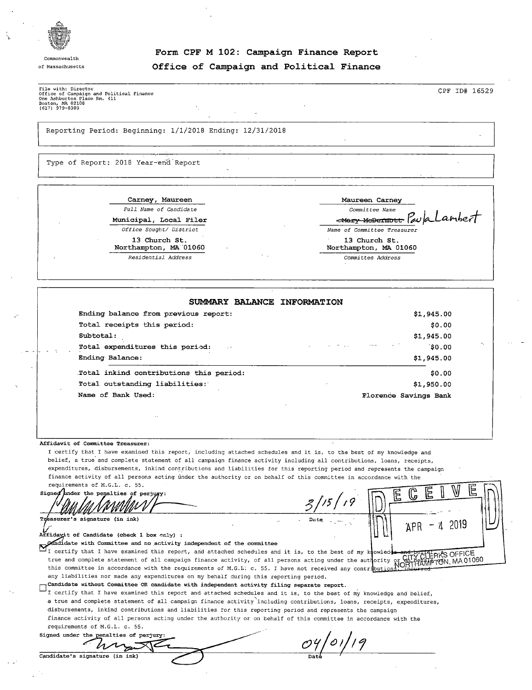

Commonwealth

## Form CPF M 102: Campaign Finance Report of Massachusetts **COLOGES** Of Compaign and Political Finance

File with: Director<br>Office of Campaign and Political Finance<br>One Ashburton Place Rm. 411<br>(617) 979-8300<br>(617) 979-8300

#### Reporting Period: Beginning: 1/1/2018 Ending: 12/31/2018

Type of Report: 2018 Year-end Report

| Carney, Maureen                                | Maureen Carney                         |  |  |
|------------------------------------------------|----------------------------------------|--|--|
| Full Name of Candidate                         | Committee Name                         |  |  |
| Municipal, Local Filer                         | Mary MeDermout Paula Cambert           |  |  |
| Office Sought/ District                        | Name of Committee Treasurer            |  |  |
| 13 Church St.<br>Northampton, MA 01060<br>- 11 | 13 Church St.<br>Northampton, MA 01060 |  |  |
| Residential Address                            | Committee Address                      |  |  |

| SUMMARY BALANCE INFORMATION             |                       |
|-----------------------------------------|-----------------------|
| Ending balance from previous report:    | \$1,945.00            |
| Total receipts this period:             | \$0.00                |
| Subtotal:                               | \$1,945.00            |
| Total expenditures this period:         | a marine<br>\$0.00    |
| Ending Balance:                         | \$1,945.00            |
| Total inkind contributions this period: | \$0.00                |
| Total outstanding liabilities:          | \$1,950.00            |
| Name of Bank Used:                      | Florence Savings Bank |

#### Affidavit of Committee Treasurer:

I certify that <sup>I</sup> have examined this report, including attached schedules and it is, to the best of my knowledge and belief, a true and complete statement of all campaign finance activity including all contributions, loans, receipts, expenditures, disbursements, inkind contributions and liabilities for this reporting period and represents the campaign finance activity of all persons acting under the authority or on behalf of this committee in accordance with the requirements of M. G. L. c. 55.

Signed under the penalties of perj Treasurer's signature (in ink)

9 ||<u>|</u>|) v AP R - <sup>4</sup> <sup>2019</sup>

Affidayit of Candidate ( check 1 box only) didate with Committee and no. activity independent of the committee

I certify that I have examined this report, and attached schedules and it is, to the best of my knowled true and complete statement of all campaign finance activity, of all persons acting under the authority or CHTYCLEAKS OFFICE.<br>This committee in accordance with the requirements of M.G.L. c. 55. I have not received any cont any liabilities nor made any expenditures on my behalf during this reporting period.

Candidate without Committee OR candidate with independent activity filing separate report.  $\Box$ 

I certify that I have examined this report and attached schedules and it is, to the best of my knowledge and belief, a true and complete statement of all campaign finance activity including contributions, loans, receipts, expenditures, disbursements, inkind contributions and liabilities for this reporting period and represents the campaign finance activity of all persons acting under the authority or on behalf of this committee in accordance with the requirements of M.G.L. c. 55.

Signed under the penalties of perjury<br> $\bigwedge$  $\cal C$ Candidate's signature (in ink)